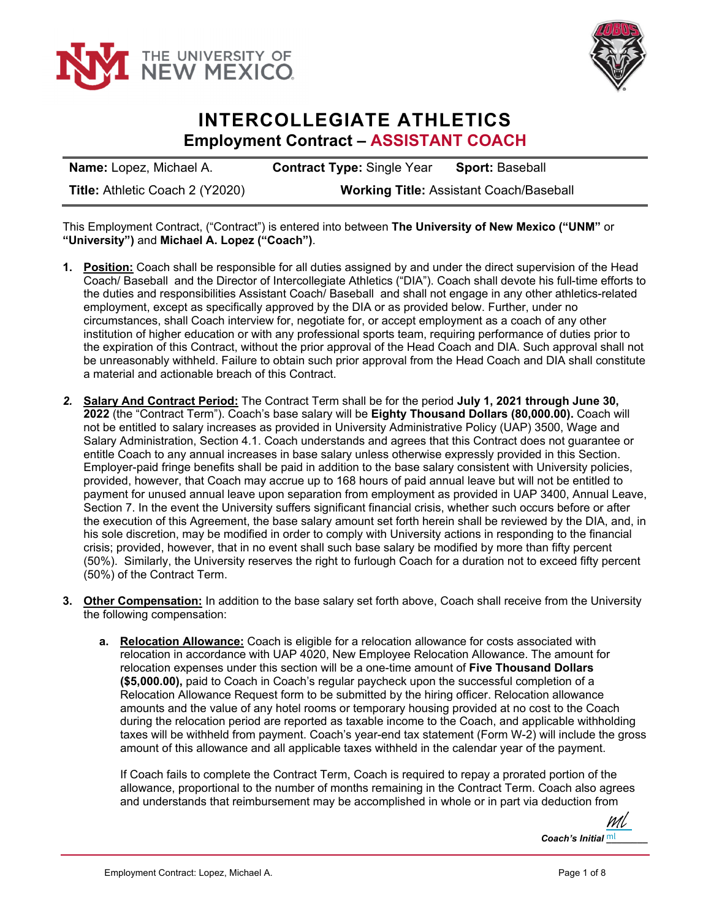



## **INTERCOLLEGIATE ATHLETICS Employment Contract – ASSISTANT COACH**

| <b>Name:</b> Lopez, Michael A.  | <b>Contract Type: Single Year</b>              | <b>Sport: Baseball</b> |
|---------------------------------|------------------------------------------------|------------------------|
| Title: Athletic Coach 2 (Y2020) | <b>Working Title: Assistant Coach/Baseball</b> |                        |

This Employment Contract, ("Contract") is entered into between **The University of New Mexico ("UNM"** or **"University")** and **Michael A. Lopez ("Coach")**.

- **1. Position:** Coach shall be responsible for all duties assigned by and under the direct supervision of the Head Coach/ Baseball and the Director of Intercollegiate Athletics ("DIA"). Coach shall devote his full-time efforts to the duties and responsibilities Assistant Coach/ Baseball and shall not engage in any other athletics-related employment, except as specifically approved by the DIA or as provided below. Further, under no circumstances, shall Coach interview for, negotiate for, or accept employment as a coach of any other institution of higher education or with any professional sports team, requiring performance of duties prior to the expiration of this Contract, without the prior approval of the Head Coach and DIA. Such approval shall not be unreasonably withheld. Failure to obtain such prior approval from the Head Coach and DIA shall constitute a material and actionable breach of this Contract.
- *2.* **Salary And Contract Period:** The Contract Term shall be for the period **July 1, 2021 through June 30, 2022** (the "Contract Term"). Coach's base salary will be **Eighty Thousand Dollars (80,000.00).** Coach will not be entitled to salary increases as provided in University Administrative Policy (UAP) 3500, Wage and Salary Administration, Section 4.1. Coach understands and agrees that this Contract does not guarantee or entitle Coach to any annual increases in base salary unless otherwise expressly provided in this Section. Employer-paid fringe benefits shall be paid in addition to the base salary consistent with University policies, provided, however, that Coach may accrue up to 168 hours of paid annual leave but will not be entitled to payment for unused annual leave upon separation from employment as provided in UAP 3400, Annual Leave, Section 7. In the event the University suffers significant financial crisis, whether such occurs before or after the execution of this Agreement, the base salary amount set forth herein shall be reviewed by the DIA, and, in his sole discretion, may be modified in order to comply with University actions in responding to the financial crisis; provided, however, that in no event shall such base salary be modified by more than fifty percent (50%). Similarly, the University reserves the right to furlough Coach for a duration not to exceed fifty percent (50%) of the Contract Term.
- **3. Other Compensation:** In addition to the base salary set forth above, Coach shall receive from the University the following compensation:
	- **a. Relocation Allowance:** Coach is eligible for a relocation allowance for costs associated with relocation in accordance with UAP 4020, New Employee Relocation Allowance. The amount for relocation expenses under this section will be a one-time amount of **Five Thousand Dollars (\$5,000.00),** paid to Coach in Coach's regular paycheck upon the successful completion of a Relocation Allowance Request form to be submitted by the hiring officer. Relocation allowance amounts and the value of any hotel rooms or temporary housing provided at no cost to the Coach during the relocation period are reported as taxable income to the Coach, and applicable withholding taxes will be withheld from payment. Coach's year-end tax statement (Form W-2) will include the gross amount of this allowance and all applicable taxes withheld in the calendar year of the payment.

If Coach fails to complete the Contract Term, Coach is required to repay a prorated portion of the allowance, proportional to the number of months remaining in the Contract Term. Coach also agrees and understands that reimbursement may be accomplished in whole or in part via deduction from

 $\mathbf C$ oach's Initial  $\frac{\mathsf{m}\mathsf{l}}{\mathsf{m}\mathsf{l}}$ [ml](https://secure.na2.echosign.com/verifier?tx=CBJCHBCAABAAsNiO8JjCeefXjc0FQ27_dosiMCdooVqd)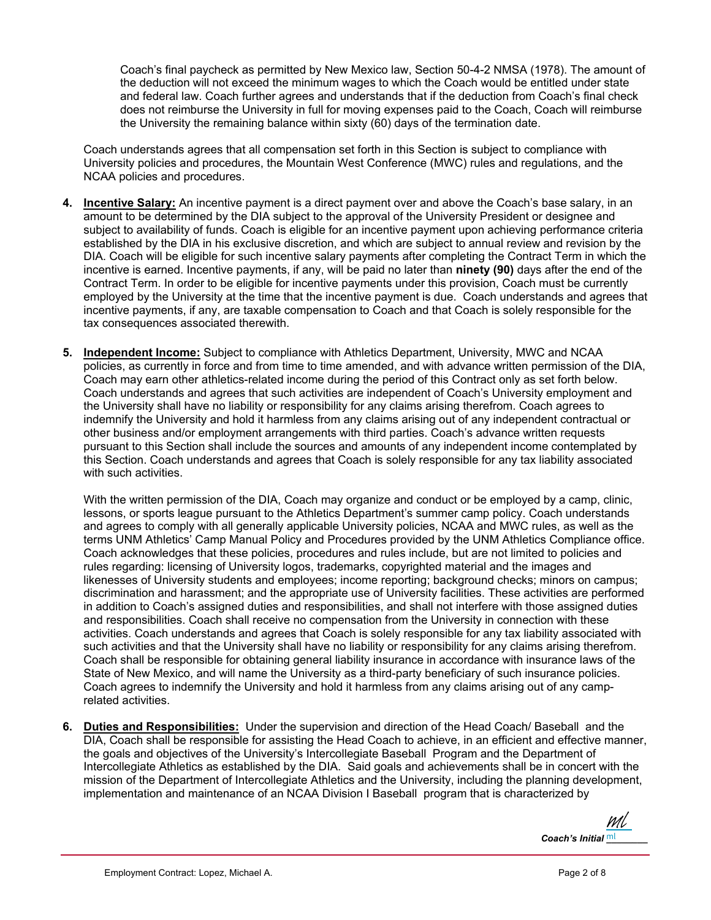Coach's final paycheck as permitted by New Mexico law, Section 50-4-2 NMSA (1978). The amount of the deduction will not exceed the minimum wages to which the Coach would be entitled under state and federal law. Coach further agrees and understands that if the deduction from Coach's final check does not reimburse the University in full for moving expenses paid to the Coach, Coach will reimburse the University the remaining balance within sixty (60) days of the termination date.

Coach understands agrees that all compensation set forth in this Section is subject to compliance with University policies and procedures, the Mountain West Conference (MWC) rules and regulations, and the NCAA policies and procedures.

- **4. Incentive Salary:** An incentive payment is a direct payment over and above the Coach's base salary, in an amount to be determined by the DIA subject to the approval of the University President or designee and subject to availability of funds. Coach is eligible for an incentive payment upon achieving performance criteria established by the DIA in his exclusive discretion, and which are subject to annual review and revision by the DIA. Coach will be eligible for such incentive salary payments after completing the Contract Term in which the incentive is earned. Incentive payments, if any, will be paid no later than **ninety (90)** days after the end of the Contract Term. In order to be eligible for incentive payments under this provision, Coach must be currently employed by the University at the time that the incentive payment is due. Coach understands and agrees that incentive payments, if any, are taxable compensation to Coach and that Coach is solely responsible for the tax consequences associated therewith.
- **5. Independent Income:** Subject to compliance with Athletics Department, University, MWC and NCAA policies, as currently in force and from time to time amended, and with advance written permission of the DIA, Coach may earn other athletics-related income during the period of this Contract only as set forth below. Coach understands and agrees that such activities are independent of Coach's University employment and the University shall have no liability or responsibility for any claims arising therefrom. Coach agrees to indemnify the University and hold it harmless from any claims arising out of any independent contractual or other business and/or employment arrangements with third parties. Coach's advance written requests pursuant to this Section shall include the sources and amounts of any independent income contemplated by this Section. Coach understands and agrees that Coach is solely responsible for any tax liability associated with such activities.

With the written permission of the DIA, Coach may organize and conduct or be employed by a camp, clinic, lessons, or sports league pursuant to the Athletics Department's summer camp policy. Coach understands and agrees to comply with all generally applicable University policies, NCAA and MWC rules, as well as the terms UNM Athletics' Camp Manual Policy and Procedures provided by the UNM Athletics Compliance office. Coach acknowledges that these policies, procedures and rules include, but are not limited to policies and rules regarding: licensing of University logos, trademarks, copyrighted material and the images and likenesses of University students and employees; income reporting; background checks; minors on campus; discrimination and harassment; and the appropriate use of University facilities. These activities are performed in addition to Coach's assigned duties and responsibilities, and shall not interfere with those assigned duties and responsibilities. Coach shall receive no compensation from the University in connection with these activities. Coach understands and agrees that Coach is solely responsible for any tax liability associated with such activities and that the University shall have no liability or responsibility for any claims arising therefrom. Coach shall be responsible for obtaining general liability insurance in accordance with insurance laws of the State of New Mexico, and will name the University as a third-party beneficiary of such insurance policies. Coach agrees to indemnify the University and hold it harmless from any claims arising out of any camprelated activities.

**6. Duties and Responsibilities:** Under the supervision and direction of the Head Coach/ Baseball and the DIA, Coach shall be responsible for assisting the Head Coach to achieve, in an efficient and effective manner, the goals and objectives of the University's Intercollegiate Baseball Program and the Department of Intercollegiate Athletics as established by the DIA. Said goals and achievements shall be in concert with the mission of the Department of Intercollegiate Athletics and the University, including the planning development, implementation and maintenance of an NCAA Division I Baseball program that is characterized by

 $\mathbf C$ oach's Initial  $\frac{\mathsf{m}\mathsf{l}}{\mathsf{m}\mathsf{l}}$ [ml](https://secure.na2.echosign.com/verifier?tx=CBJCHBCAABAAsNiO8JjCeefXjc0FQ27_dosiMCdooVqd)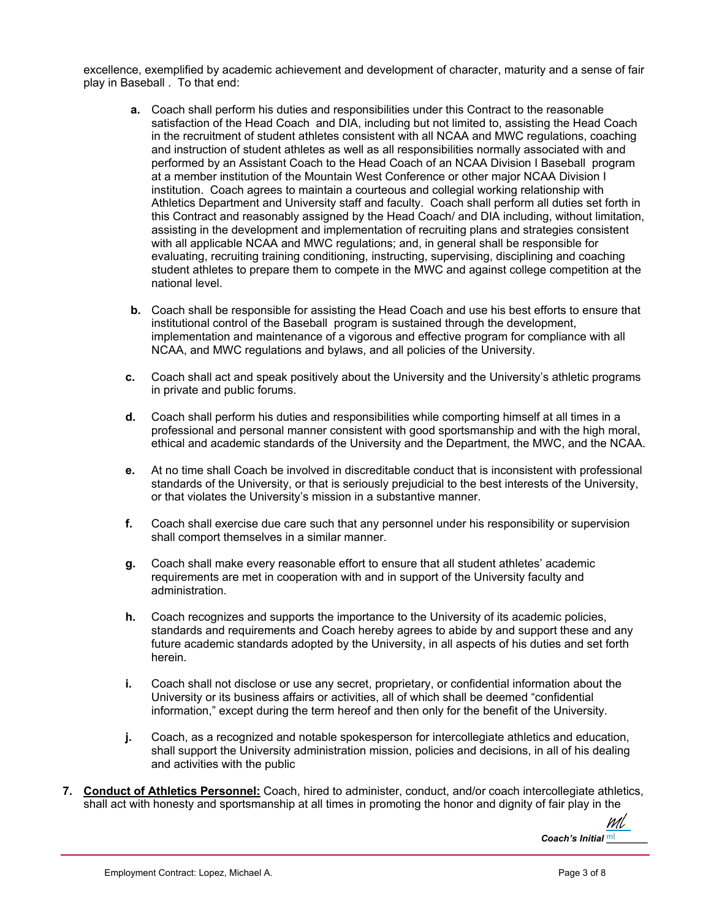excellence, exemplified by academic achievement and development of character, maturity and a sense of fair play in Baseball . To that end:

- **a.** Coach shall perform his duties and responsibilities under this Contract to the reasonable satisfaction of the Head Coach and DIA, including but not limited to, assisting the Head Coach in the recruitment of student athletes consistent with all NCAA and MWC regulations, coaching and instruction of student athletes as well as all responsibilities normally associated with and performed by an Assistant Coach to the Head Coach of an NCAA Division I Baseball program at a member institution of the Mountain West Conference or other major NCAA Division I institution. Coach agrees to maintain a courteous and collegial working relationship with Athletics Department and University staff and faculty. Coach shall perform all duties set forth in this Contract and reasonably assigned by the Head Coach/ and DIA including, without limitation, assisting in the development and implementation of recruiting plans and strategies consistent with all applicable NCAA and MWC regulations; and, in general shall be responsible for evaluating, recruiting training conditioning, instructing, supervising, disciplining and coaching student athletes to prepare them to compete in the MWC and against college competition at the national level.
- **b.** Coach shall be responsible for assisting the Head Coach and use his best efforts to ensure that institutional control of the Baseball program is sustained through the development, implementation and maintenance of a vigorous and effective program for compliance with all NCAA, and MWC regulations and bylaws, and all policies of the University.
- **c.** Coach shall act and speak positively about the University and the University's athletic programs in private and public forums.
- **d.** Coach shall perform his duties and responsibilities while comporting himself at all times in a professional and personal manner consistent with good sportsmanship and with the high moral, ethical and academic standards of the University and the Department, the MWC, and the NCAA.
- **e.** At no time shall Coach be involved in discreditable conduct that is inconsistent with professional standards of the University, or that is seriously prejudicial to the best interests of the University, or that violates the University's mission in a substantive manner.
- **f.** Coach shall exercise due care such that any personnel under his responsibility or supervision shall comport themselves in a similar manner.
- **g.** Coach shall make every reasonable effort to ensure that all student athletes' academic requirements are met in cooperation with and in support of the University faculty and administration.
- **h.** Coach recognizes and supports the importance to the University of its academic policies, standards and requirements and Coach hereby agrees to abide by and support these and any future academic standards adopted by the University, in all aspects of his duties and set forth herein.
- **i.** Coach shall not disclose or use any secret, proprietary, or confidential information about the University or its business affairs or activities, all of which shall be deemed "confidential information," except during the term hereof and then only for the benefit of the University.
- **j.** Coach, as a recognized and notable spokesperson for intercollegiate athletics and education, shall support the University administration mission, policies and decisions, in all of his dealing and activities with the public
- **7. Conduct of Athletics Personnel:** Coach, hired to administer, conduct, and/or coach intercollegiate athletics, shall act with honesty and sportsmanship at all times in promoting the honor and dignity of fair play in the

 $\mathbf C$ oach's Initial  $\frac{m}{2}$ [ml](https://secure.na2.echosign.com/verifier?tx=CBJCHBCAABAAsNiO8JjCeefXjc0FQ27_dosiMCdooVqd)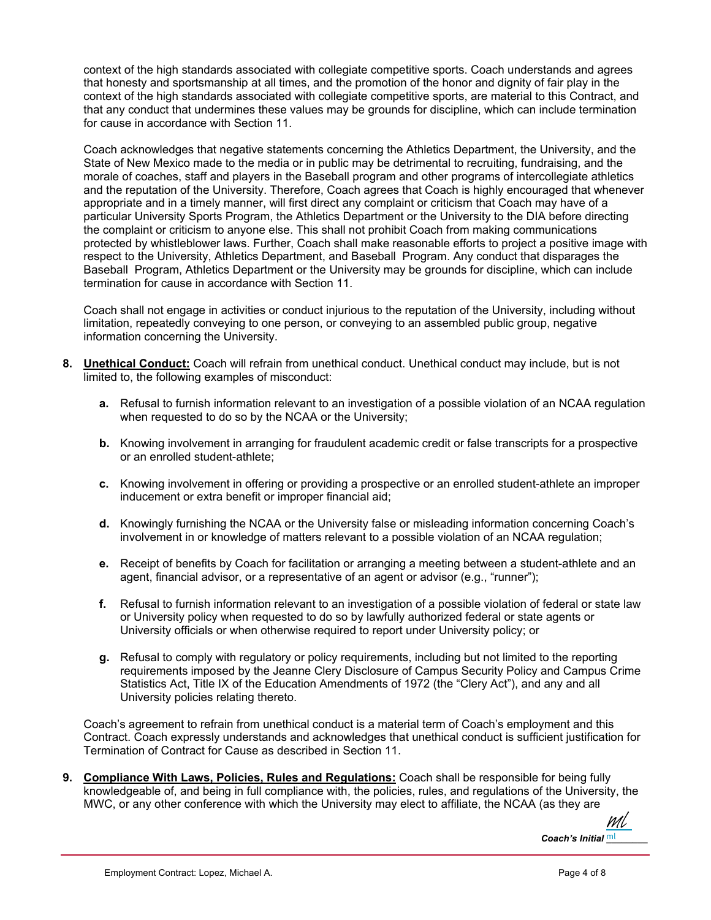context of the high standards associated with collegiate competitive sports. Coach understands and agrees that honesty and sportsmanship at all times, and the promotion of the honor and dignity of fair play in the context of the high standards associated with collegiate competitive sports, are material to this Contract, and that any conduct that undermines these values may be grounds for discipline, which can include termination for cause in accordance with Section 11.

Coach acknowledges that negative statements concerning the Athletics Department, the University, and the State of New Mexico made to the media or in public may be detrimental to recruiting, fundraising, and the morale of coaches, staff and players in the Baseball program and other programs of intercollegiate athletics and the reputation of the University. Therefore, Coach agrees that Coach is highly encouraged that whenever appropriate and in a timely manner, will first direct any complaint or criticism that Coach may have of a particular University Sports Program, the Athletics Department or the University to the DIA before directing the complaint or criticism to anyone else. This shall not prohibit Coach from making communications protected by whistleblower laws. Further, Coach shall make reasonable efforts to project a positive image with respect to the University, Athletics Department, and Baseball Program. Any conduct that disparages the Baseball Program, Athletics Department or the University may be grounds for discipline, which can include termination for cause in accordance with Section 11.

Coach shall not engage in activities or conduct injurious to the reputation of the University, including without limitation, repeatedly conveying to one person, or conveying to an assembled public group, negative information concerning the University.

- **8. Unethical Conduct:** Coach will refrain from unethical conduct. Unethical conduct may include, but is not limited to, the following examples of misconduct:
	- **a.** Refusal to furnish information relevant to an investigation of a possible violation of an NCAA regulation when requested to do so by the NCAA or the University;
	- **b.** Knowing involvement in arranging for fraudulent academic credit or false transcripts for a prospective or an enrolled student-athlete;
	- **c.** Knowing involvement in offering or providing a prospective or an enrolled student-athlete an improper inducement or extra benefit or improper financial aid;
	- **d.** Knowingly furnishing the NCAA or the University false or misleading information concerning Coach's involvement in or knowledge of matters relevant to a possible violation of an NCAA regulation;
	- **e.** Receipt of benefits by Coach for facilitation or arranging a meeting between a student-athlete and an agent, financial advisor, or a representative of an agent or advisor (e.g., "runner");
	- **f.** Refusal to furnish information relevant to an investigation of a possible violation of federal or state law or University policy when requested to do so by lawfully authorized federal or state agents or University officials or when otherwise required to report under University policy; or
	- **g.** Refusal to comply with regulatory or policy requirements, including but not limited to the reporting requirements imposed by the Jeanne Clery Disclosure of Campus Security Policy and Campus Crime Statistics Act, Title IX of the Education Amendments of 1972 (the "Clery Act"), and any and all University policies relating thereto.

Coach's agreement to refrain from unethical conduct is a material term of Coach's employment and this Contract. Coach expressly understands and acknowledges that unethical conduct is sufficient justification for Termination of Contract for Cause as described in Section 11.

**9. Compliance With Laws, Policies, Rules and Regulations:** Coach shall be responsible for being fully knowledgeable of, and being in full compliance with, the policies, rules, and regulations of the University, the MWC, or any other conference with which the University may elect to affiliate, the NCAA (as they are

 $\mathbf C$ oach's Initial  $\frac{\mathsf{m}\mathsf{l}}{\mathsf{m}\mathsf{l}}$ [ml](https://secure.na2.echosign.com/verifier?tx=CBJCHBCAABAAsNiO8JjCeefXjc0FQ27_dosiMCdooVqd)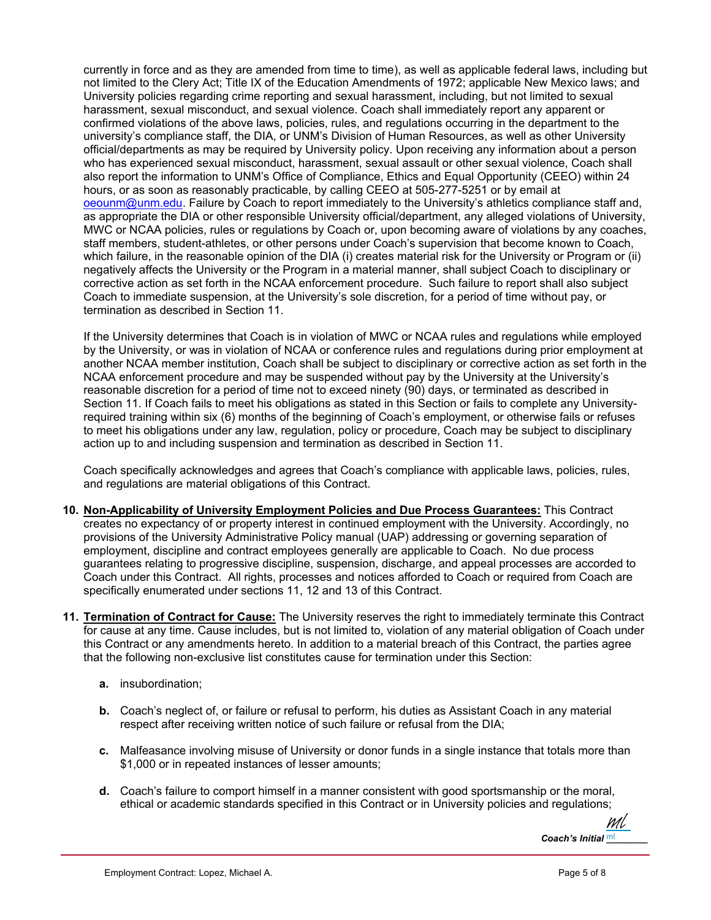currently in force and as they are amended from time to time), as well as applicable federal laws, including but not limited to the Clery Act; Title IX of the Education Amendments of 1972; applicable New Mexico laws; and University policies regarding crime reporting and sexual harassment, including, but not limited to sexual harassment, sexual misconduct, and sexual violence. Coach shall immediately report any apparent or confirmed violations of the above laws, policies, rules, and regulations occurring in the department to the university's compliance staff, the DIA, or UNM's Division of Human Resources, as well as other University official/departments as may be required by University policy. Upon receiving any information about a person who has experienced sexual misconduct, harassment, sexual assault or other sexual violence, Coach shall also report the information to UNM's Office of Compliance, Ethics and Equal Opportunity (CEEO) within 24 hours, or as soon as reasonably practicable, by calling CEEO at 505-277-5251 or by email at oeounm@unm.edu. Failure by Coach to report immediately to the University's athletics compliance staff and, as appropriate the DIA or other responsible University official/department, any alleged violations of University, MWC or NCAA policies, rules or regulations by Coach or, upon becoming aware of violations by any coaches, staff members, student-athletes, or other persons under Coach's supervision that become known to Coach, which failure, in the reasonable opinion of the DIA (i) creates material risk for the University or Program or (ii) negatively affects the University or the Program in a material manner, shall subject Coach to disciplinary or corrective action as set forth in the NCAA enforcement procedure. Such failure to report shall also subject Coach to immediate suspension, at the University's sole discretion, for a period of time without pay, or termination as described in Section 11.

If the University determines that Coach is in violation of MWC or NCAA rules and regulations while employed by the University, or was in violation of NCAA or conference rules and regulations during prior employment at another NCAA member institution, Coach shall be subject to disciplinary or corrective action as set forth in the NCAA enforcement procedure and may be suspended without pay by the University at the University's reasonable discretion for a period of time not to exceed ninety (90) days, or terminated as described in Section 11. If Coach fails to meet his obligations as stated in this Section or fails to complete any Universityrequired training within six (6) months of the beginning of Coach's employment, or otherwise fails or refuses to meet his obligations under any law, regulation, policy or procedure, Coach may be subject to disciplinary action up to and including suspension and termination as described in Section 11.

Coach specifically acknowledges and agrees that Coach's compliance with applicable laws, policies, rules, and regulations are material obligations of this Contract.

- **10. Non-Applicability of University Employment Policies and Due Process Guarantees:** This Contract creates no expectancy of or property interest in continued employment with the University. Accordingly, no provisions of the University Administrative Policy manual (UAP) addressing or governing separation of employment, discipline and contract employees generally are applicable to Coach. No due process guarantees relating to progressive discipline, suspension, discharge, and appeal processes are accorded to Coach under this Contract. All rights, processes and notices afforded to Coach or required from Coach are specifically enumerated under sections 11, 12 and 13 of this Contract.
- **11. Termination of Contract for Cause:** The University reserves the right to immediately terminate this Contract for cause at any time. Cause includes, but is not limited to, violation of any material obligation of Coach under this Contract or any amendments hereto. In addition to a material breach of this Contract, the parties agree that the following non-exclusive list constitutes cause for termination under this Section:
	- **a.** insubordination;
	- **b.** Coach's neglect of, or failure or refusal to perform, his duties as Assistant Coach in any material respect after receiving written notice of such failure or refusal from the DIA;
	- **c.** Malfeasance involving misuse of University or donor funds in a single instance that totals more than \$1,000 or in repeated instances of lesser amounts;
	- **d.** Coach's failure to comport himself in a manner consistent with good sportsmanship or the moral, ethical or academic standards specified in this Contract or in University policies and regulations;

 $\mathbf C$ oach's Initial  $\frac{m}{2}$ [ml](https://secure.na2.echosign.com/verifier?tx=CBJCHBCAABAAsNiO8JjCeefXjc0FQ27_dosiMCdooVqd)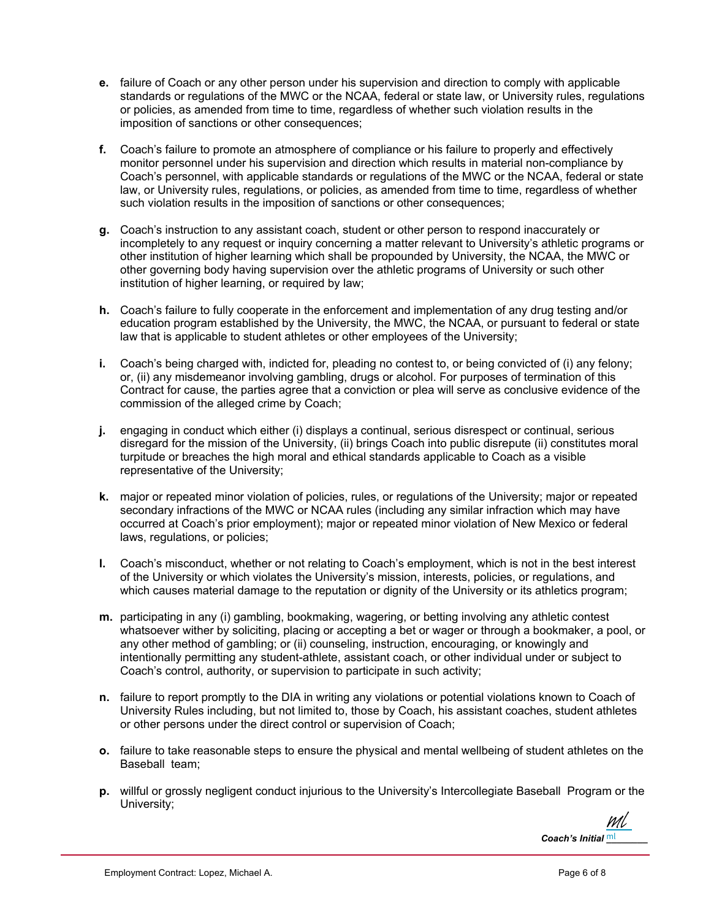- **e.** failure of Coach or any other person under his supervision and direction to comply with applicable standards or regulations of the MWC or the NCAA, federal or state law, or University rules, regulations or policies, as amended from time to time, regardless of whether such violation results in the imposition of sanctions or other consequences;
- **f.** Coach's failure to promote an atmosphere of compliance or his failure to properly and effectively monitor personnel under his supervision and direction which results in material non-compliance by Coach's personnel, with applicable standards or regulations of the MWC or the NCAA, federal or state law, or University rules, regulations, or policies, as amended from time to time, regardless of whether such violation results in the imposition of sanctions or other consequences;
- **g.** Coach's instruction to any assistant coach, student or other person to respond inaccurately or incompletely to any request or inquiry concerning a matter relevant to University's athletic programs or other institution of higher learning which shall be propounded by University, the NCAA, the MWC or other governing body having supervision over the athletic programs of University or such other institution of higher learning, or required by law;
- **h.** Coach's failure to fully cooperate in the enforcement and implementation of any drug testing and/or education program established by the University, the MWC, the NCAA, or pursuant to federal or state law that is applicable to student athletes or other employees of the University;
- **i.** Coach's being charged with, indicted for, pleading no contest to, or being convicted of (i) any felony; or, (ii) any misdemeanor involving gambling, drugs or alcohol. For purposes of termination of this Contract for cause, the parties agree that a conviction or plea will serve as conclusive evidence of the commission of the alleged crime by Coach;
- **j.** engaging in conduct which either (i) displays a continual, serious disrespect or continual, serious disregard for the mission of the University, (ii) brings Coach into public disrepute (ii) constitutes moral turpitude or breaches the high moral and ethical standards applicable to Coach as a visible representative of the University;
- **k.** major or repeated minor violation of policies, rules, or regulations of the University; major or repeated secondary infractions of the MWC or NCAA rules (including any similar infraction which may have occurred at Coach's prior employment); major or repeated minor violation of New Mexico or federal laws, regulations, or policies;
- **l.** Coach's misconduct, whether or not relating to Coach's employment, which is not in the best interest of the University or which violates the University's mission, interests, policies, or regulations, and which causes material damage to the reputation or dignity of the University or its athletics program;
- **m.** participating in any (i) gambling, bookmaking, wagering, or betting involving any athletic contest whatsoever wither by soliciting, placing or accepting a bet or wager or through a bookmaker, a pool, or any other method of gambling; or (ii) counseling, instruction, encouraging, or knowingly and intentionally permitting any student-athlete, assistant coach, or other individual under or subject to Coach's control, authority, or supervision to participate in such activity;
- **n.** failure to report promptly to the DIA in writing any violations or potential violations known to Coach of University Rules including, but not limited to, those by Coach, his assistant coaches, student athletes or other persons under the direct control or supervision of Coach;
- **o.** failure to take reasonable steps to ensure the physical and mental wellbeing of student athletes on the Baseball team;
- **p.** willful or grossly negligent conduct injurious to the University's Intercollegiate Baseball Program or the University;

 $\mathbf C$ oach's Initial  $\frac{\mathsf{m}\mathsf{l}}{\mathsf{m}\mathsf{l}}$ [ml](https://secure.na2.echosign.com/verifier?tx=CBJCHBCAABAAsNiO8JjCeefXjc0FQ27_dosiMCdooVqd)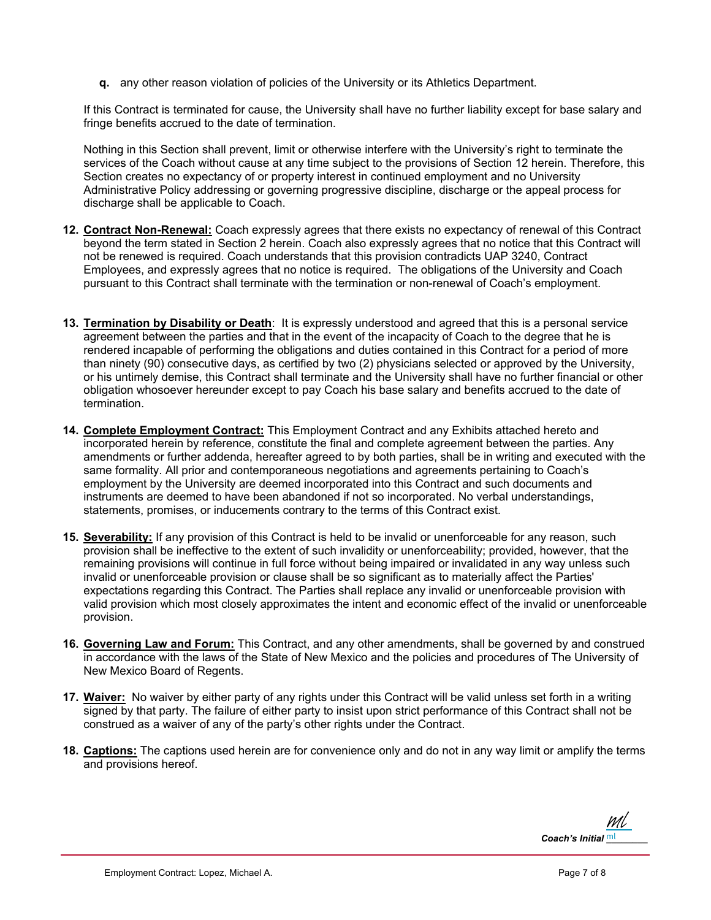**q.** any other reason violation of policies of the University or its Athletics Department.

If this Contract is terminated for cause, the University shall have no further liability except for base salary and fringe benefits accrued to the date of termination.

Nothing in this Section shall prevent, limit or otherwise interfere with the University's right to terminate the services of the Coach without cause at any time subject to the provisions of Section 12 herein. Therefore, this Section creates no expectancy of or property interest in continued employment and no University Administrative Policy addressing or governing progressive discipline, discharge or the appeal process for discharge shall be applicable to Coach.

- **12. Contract Non-Renewal:** Coach expressly agrees that there exists no expectancy of renewal of this Contract beyond the term stated in Section 2 herein. Coach also expressly agrees that no notice that this Contract will not be renewed is required. Coach understands that this provision contradicts UAP 3240, Contract Employees, and expressly agrees that no notice is required. The obligations of the University and Coach pursuant to this Contract shall terminate with the termination or non-renewal of Coach's employment.
- **13. Termination by Disability or Death**: It is expressly understood and agreed that this is a personal service agreement between the parties and that in the event of the incapacity of Coach to the degree that he is rendered incapable of performing the obligations and duties contained in this Contract for a period of more than ninety (90) consecutive days, as certified by two (2) physicians selected or approved by the University, or his untimely demise, this Contract shall terminate and the University shall have no further financial or other obligation whosoever hereunder except to pay Coach his base salary and benefits accrued to the date of termination.
- **14. Complete Employment Contract:** This Employment Contract and any Exhibits attached hereto and incorporated herein by reference, constitute the final and complete agreement between the parties. Any amendments or further addenda, hereafter agreed to by both parties, shall be in writing and executed with the same formality. All prior and contemporaneous negotiations and agreements pertaining to Coach's employment by the University are deemed incorporated into this Contract and such documents and instruments are deemed to have been abandoned if not so incorporated. No verbal understandings, statements, promises, or inducements contrary to the terms of this Contract exist.
- **15. Severability:** If any provision of this Contract is held to be invalid or unenforceable for any reason, such provision shall be ineffective to the extent of such invalidity or unenforceability; provided, however, that the remaining provisions will continue in full force without being impaired or invalidated in any way unless such invalid or unenforceable provision or clause shall be so significant as to materially affect the Parties' expectations regarding this Contract. The Parties shall replace any invalid or unenforceable provision with valid provision which most closely approximates the intent and economic effect of the invalid or unenforceable provision.
- **16. Governing Law and Forum:** This Contract, and any other amendments, shall be governed by and construed in accordance with the laws of the State of New Mexico and the policies and procedures of The University of New Mexico Board of Regents.
- **17. Waiver:** No waiver by either party of any rights under this Contract will be valid unless set forth in a writing signed by that party. The failure of either party to insist upon strict performance of this Contract shall not be construed as a waiver of any of the party's other rights under the Contract.
- **18. Captions:** The captions used herein are for convenience only and do not in any way limit or amplify the terms and provisions hereof.